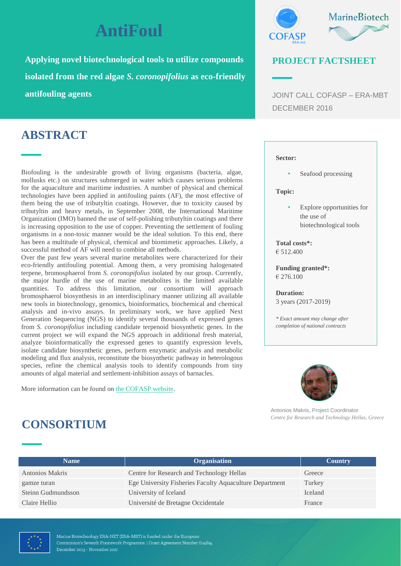# **AntiFoul**

**Applying novel biotechnological tools to utilize compounds isolated from the red algae** *S. coronopifolius* **as eco-friendly antifouling agents**

### **ABSTRACT**

Biofouling is the undesirable growth of living organisms (bacteria, algae, mollusks etc.) on structures submerged in water which causes serious problems for the aquaculture and maritime industries. A number of physical and chemical technologies have been applied in antifouling paints (AF), the most effective of them being the use of tributyltin coatings. However, due to toxicity caused by tributyltin and heavy metals, in September 2008, the International Maritime Organization (IMO) banned the use of self-polishing tributyltin coatings and there is increasing opposition to the use of copper. Preventing the settlement of fouling organisms in a non-toxic manner would be the ideal solution. To this end, there has been a multitude of physical, chemical and biomimetic approaches. Likely, a successful method of AF will need to combine all methods.

Over the past few years several marine metabolites were characterized for their eco-friendly antifouling potential. Among them, a very promising halogenated terpene, bromosphaerol from *S. coronopifolius* isolated by our group. Currently, the major hurdle of the use of marine metabolites is the limited available quantities. To address this limitation, our consortium will approach bromosphaerol biosynthesis in an interdisciplinary manner utilizing all available new tools in biotechnology, genomics, bioinformatics, biochemical and chemical analysis and in-vivo assays. In preliminary work, we have applied Next Generation Sequencing (NGS) to identify several thousands of expressed genes from *S. coronopifolius* including candidate terpenoid biosynthetic genes. In the current project we will expand the NGS approach in additional fresh material, analyze bioinformatically the expressed genes to quantify expression levels, isolate candidate biosynthetic genes, perform enzymatic analysis and metabolic modeling and flux analysis, reconstitute the biosynthetic pathway in heterologous species, refine the chemical analysis tools to identify compounds from tiny amounts of algal material and settlement-inhibition assays of barnacles.

More information can be found on [the COFASP website.](http://www.cofasp.eu/node/6689)



### **PROJECT FACTSHEET**

JOINT CALL COFASP – ERA-MBT DECEMBER 2016

#### **Sector:**

• Seafood processing

#### **Topic:**

• Explore opportunities for the use of biotechnological tools

**Total costs\*:** € 512.400

**Funding granted\*:** € 276.100

**Duration:** 3 years (2017-2019)

*\* Exact amount may change after completion of national contracts*



Antonios Makris, Project Coordinator *Centre for Research and Technology Hellas, Greece*

### **CONSORTIUM**

| <b>Name</b>            | <b>Organisation</b>                                     | <b>Country</b> |
|------------------------|---------------------------------------------------------|----------------|
| <b>Antonios Makris</b> | Centre for Research and Technology Hellas               | Greece         |
| gamze turan            | Ege University Fisheries Faculty Aquaculture Department | Turkey         |
| Steinn Gudmundsson     | University of Iceland                                   | Iceland        |
| Claire Hellio          | Université de Bretagne Occidentale                      | France         |

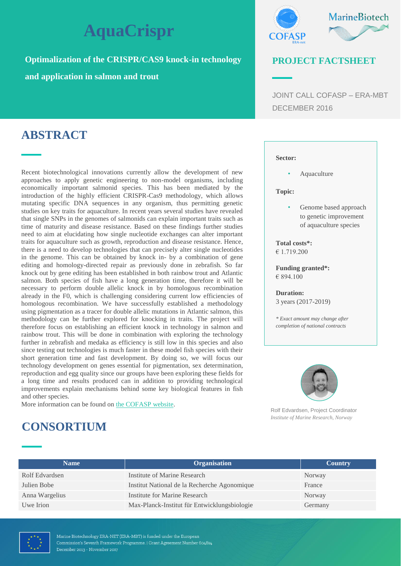# **AquaCrispr**

**Optimalization of the CRISPR/CAS9 knock-in technology** 

**and application in salmon and trout**



### **PROJECT FACTSHEET**

JOINT CALL COFASP – ERA-MBT DECEMBER 2016

## **ABSTRACT**

Recent biotechnological innovations currently allow the development of new approaches to apply genetic engineering to non-model organisms, including economically important salmonid species. This has been mediated by the introduction of the highly efficient CRISPR-Cas9 methodology, which allows mutating specific DNA sequences in any organism, thus permitting genetic studies on key traits for aquaculture. In recent years several studies have revealed that single SNPs in the genomes of salmonids can explain important traits such as time of maturity and disease resistance. Based on these findings further studies need to aim at elucidating how single nucleotide exchanges can alter important traits for aquaculture such as growth, reproduction and disease resistance. Hence, there is a need to develop technologies that can precisely alter single nucleotides in the genome. This can be obtained by knock in- by a combination of gene editing and homology-directed repair as previously done in zebrafish. So far knock out by gene editing has been established in both rainbow trout and Atlantic salmon. Both species of fish have a long generation time, therefore it will be necessary to perform double allelic knock in by homologous recombination already in the F0, which is challenging considering current low efficiencies of homologous recombination. We have successfully established a methodology using pigmentation as a tracer for double allelic mutations in Atlantic salmon, this methodology can be further explored for knocking in traits. The project will therefore focus on establishing an efficient knock in technology in salmon and rainbow trout. This will be done in combination with exploring the technology further in zebrafish and medaka as efficiency is still low in this species and also since testing out technologies is much faster in these model fish species with their short generation time and fast development. By doing so, we will focus our technology development on genes essential for pigmentation, sex determination, reproduction and egg quality since our groups have been exploring these fields for a long time and results produced can in addition to providing technological improvements explain mechanisms behind some key biological features in fish and other species.

More information can be found on [the COFASP website.](http://www.cofasp.eu/node/6691)

#### **Sector:**

• Aquaculture

#### **Topic:**

Genome based approach to genetic improvement of aquaculture species

**Total costs\*:** € 1.719.200

**Funding granted\*:** € 894.100

**Duration:** 3 years (2017-2019)

*\* Exact amount may change after completion of national contracts*



Rolf Edvardsen, Project Coordinator *Institute of Marine Research, Norway*

## **CONSORTIUM**

| <b>Name</b>    | <b>Organisation</b>                          | <b>Country</b> |
|----------------|----------------------------------------------|----------------|
| Rolf Edvardsen | Institute of Marine Research                 | Norway         |
| Julien Bobe    | Institut National de la Recherche Agonomique | France         |
| Anna Wargelius | Institute for Marine Research                | Norway         |
| Uwe Irion      | Max-Planck-Institut für Entwicklungsbiologie | Germany        |

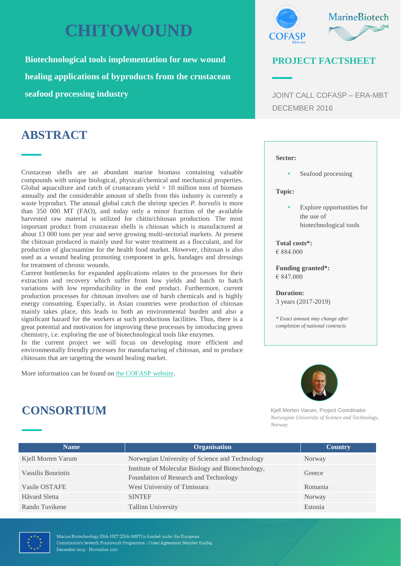# **CHITOWOUND**

**Biotechnological tools implementation for new wound healing applications of byproducts from the crustacean seafood processing industry** 

## **ABSTRACT**

Crustacean shells are an abundant marine biomass containing valuable compounds with unique biological, physical/chemical and mechanical properties. Global aquaculture and catch of crustaceans yield  $> 10$  million tons of biomass annually and the considerable amount of shells from this industry is currently a waste byproduct. The annual global catch the shrimp species *P. borealis* is more than 350 000 MT (FAO), and today only a minor fraction of the available harvested raw material is utilized for chitin/chitosan production. The most important product from crustacean shells is chitosan which is manufactured at about 13 000 tons per year and serve growing multi-sectorial markets. At present the chitosan produced is mainly used for water treatment as a flocculant, and for production of glucosamine for the health food market. However, chitosan is also used as a wound healing promoting component in gels, bandages and dressings for treatment of chronic wounds.

Current bottlenecks for expanded applications relates to the processes for their extraction and recovery which suffer from low yields and batch to batch variations with low reproducibility in the end product. Furthermore, current production processes for chitosan involves use of harsh chemicals and is highly energy consuming. Especially, in Asian countries were production of chitosan mainly takes place, this leads to both an environmental burden and also a significant hazard for the workers at such productions facilities. Thus, there is a great potential and motivation for improving these processes by introducing green chemistry, i.e. exploring the use of biotechnological tools like enzymes.

In the current project we will focus on developing more efficient and environmentally friendly processes for manufacturing of chitosan, and to produce chitosans that are targeting the wound healing market.

More information can be found on [the COFASP website.](http://www.cofasp.eu/node/6690)



### **PROJECT FACTSHEET**

JOINT CALL COFASP – ERA-MBT DECEMBER 2016

#### **Sector:**

• Seafood processing

#### **Topic:**

Explore opportunities for the use of biotechnological tools

**Total costs\*:** € 884.000

**Funding granted\*:** € 847.000

**Duration:** 3 years (2017-2019)

*\* Exact amount may change after completion of national contracts*



Kjell Morten Varum, Project Coordinator *Norwegian University of Science and Technology, Norway*

| <b>Name</b>        | <b>Organisation</b>                                                                        | <b>Country</b> |
|--------------------|--------------------------------------------------------------------------------------------|----------------|
| Kjell Morten Varum | Norwegian University of Science and Technology                                             | Norway         |
| Vassilis Bouriotis | Institute of Molecular Biology and Biotechnology,<br>Foundation of Research and Technology | Greece         |
| Vasile OSTAFE      | West University of Timisoara                                                               | Romania        |
| Håvard Sletta      | <b>SINTEF</b>                                                                              | Norway         |
| Rando Tuvikene     | <b>Tallinn University</b>                                                                  | Estonia        |



Marine Biotechnology ERA-NET (ERA-MBT) is funded under the European Commission's Seventh Framework Programme. | Grant Agreement Number 604814 December 2013 - November 2017

**CONSORTIUM**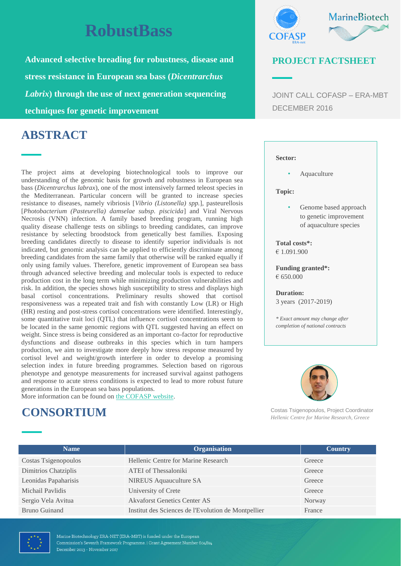# **RobustBass**

**Advanced selective breading for robustness, disease and stress resistance in European sea bass (***Dicentrarchus Labrix***) through the use of next generation sequencing techniques for genetic improvement**

## **ABSTRACT**

The project aims at developing biotechnological tools to improve our understanding of the genomic basis for growth and robustness in European sea bass (*Dicentrarchus labrax*), one of the most intensively farmed teleost species in the Mediterranean. Particular concern will be granted to increase species resistance to diseases, namely vibriosis [*Vibrio (Listonella) spp.*], pasteurellosis [*Photobacterium (Pasteurella) damselae subsp. piscicida*] and Viral Nervous Necrosis (VNN) infection. A family based breeding program, running high quality disease challenge tests on siblings to breeding candidates, can improve resistance by selecting broodstock from genetically best families. Exposing breeding candidates directly to disease to identify superior individuals is not indicated, but genomic analysis can be applied to efficiently discriminate among breeding candidates from the same family that otherwise will be ranked equally if only using family values. Therefore, genetic improvement of European sea bass through advanced selective breeding and molecular tools is expected to reduce production cost in the long term while minimizing production vulnerabilities and risk. In addition, the species shows high susceptibility to stress and displays high basal cortisol concentrations. Preliminary results showed that cortisol responsiveness was a repeated trait and fish with constantly Low (LR) or High (HR) resting and post-stress cortisol concentrations were identified. Interestingly, some quantitative trait loci (QTL) that influence cortisol concentrations seem to be located in the same genomic regions with QTL suggested having an effect on weight. Since stress is being considered as an important co-factor for reproductive dysfunctions and disease outbreaks in this species which in turn hampers production, we aim to investigate more deeply how stress response measured by cortisol level and weight/growth interfere in order to develop a promising selection index in future breeding programmes. Selection based on rigorous phenotype and genotype measurements for increased survival against pathogens and response to acute stress conditions is expected to lead to more robust future generations in the European sea bass populations.

More information can be found on [the COFASP website.](http://www.cofasp.eu/node/6687)

## **CONSORTIUM**



### **PROJECT FACTSHEET**

JOINT CALL COFASP – ERA-MBT DECEMBER 2016

#### **Sector:**

• Aquaculture

#### **Topic:**

Genome based approach to genetic improvement of aquaculture species

**Total costs\*:** € 1.091.900

**Funding granted\*:** € 650.000

**Duration:** 3 years (2017-2019)

*\* Exact amount may change after completion of national contracts*



Costas Tsigenopoulos, Project Coordinator *Hellenic Centre for Marine Research, Greece*

| <b>Name</b>          | <b>Organisation</b>                                 | <b>Country</b> |
|----------------------|-----------------------------------------------------|----------------|
| Costas Tsigenopoulos | Hellenic Centre for Marine Research                 | Greece         |
| Dimitrios Chatziplis | <b>ATEI</b> of Thessaloniki                         | Greece         |
| Leonidas Papaharisis | <b>NIREUS</b> Aquauculture SA                       | Greece         |
| Michail Paylidis     | University of Crete                                 | Greece         |
| Sergio Vela Avitua   | <b>Akvaforst Genetics Center AS</b>                 | Norway         |
| Bruno Guinand        | Institut des Sciences de l'Evolution de Montpellier | France         |